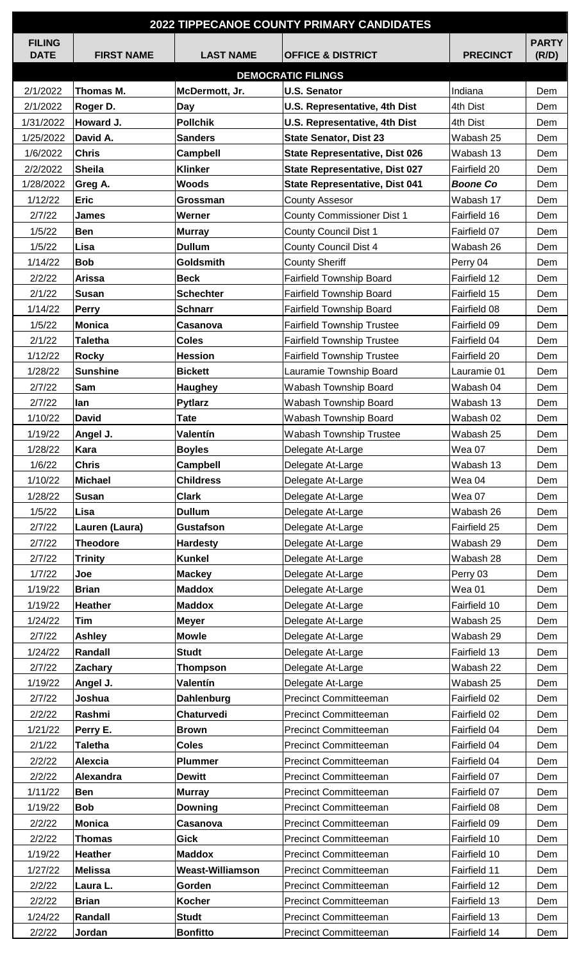| <b>2022 TIPPECANOE COUNTY PRIMARY CANDIDATES</b> |                   |                         |                                       |                 |              |  |  |  |
|--------------------------------------------------|-------------------|-------------------------|---------------------------------------|-----------------|--------------|--|--|--|
| <b>FILING</b>                                    |                   |                         |                                       |                 | <b>PARTY</b> |  |  |  |
| <b>DATE</b>                                      | <b>FIRST NAME</b> | <b>LAST NAME</b>        | <b>OFFICE &amp; DISTRICT</b>          | <b>PRECINCT</b> | (R/D)        |  |  |  |
| <b>DEMOCRATIC FILINGS</b>                        |                   |                         |                                       |                 |              |  |  |  |
| 2/1/2022                                         | Thomas M.         | McDermott, Jr.          | <b>U.S. Senator</b>                   | Indiana         | Dem          |  |  |  |
| 2/1/2022                                         | Roger D.          | Day                     | U.S. Representative, 4th Dist         | 4th Dist        | Dem          |  |  |  |
| 1/31/2022                                        | Howard J.         | <b>Pollchik</b>         | <b>U.S. Representative, 4th Dist</b>  | 4th Dist        | Dem          |  |  |  |
| 1/25/2022                                        | David A.          | <b>Sanders</b>          | <b>State Senator, Dist 23</b>         | Wabash 25       | Dem          |  |  |  |
| 1/6/2022                                         | <b>Chris</b>      | <b>Campbell</b>         | <b>State Representative, Dist 026</b> | Wabash 13       | Dem          |  |  |  |
| 2/2/2022                                         | <b>Sheila</b>     | <b>Klinker</b>          | State Representative, Dist 027        | Fairfield 20    | Dem          |  |  |  |
| 1/28/2022                                        | Greg A.           | <b>Woods</b>            | State Representative, Dist 041        | <b>Boone Co</b> | Dem          |  |  |  |
| 1/12/22                                          | <b>Eric</b>       | Grossman                | <b>County Assesor</b>                 | Wabash 17       | Dem          |  |  |  |
| 2/7/22                                           | <b>James</b>      | Werner                  | <b>County Commissioner Dist 1</b>     | Fairfield 16    | Dem          |  |  |  |
| 1/5/22                                           | <b>Ben</b>        | <b>Murray</b>           | <b>County Council Dist 1</b>          | Fairfield 07    | Dem          |  |  |  |
| 1/5/22                                           | Lisa              | <b>Dullum</b>           | County Council Dist 4                 | Wabash 26       | Dem          |  |  |  |
| 1/14/22                                          | <b>Bob</b>        | <b>Goldsmith</b>        | <b>County Sheriff</b>                 | Perry 04        | Dem          |  |  |  |
| 2/2/22                                           | <b>Arissa</b>     | <b>Beck</b>             | Fairfield Township Board              | Fairfield 12    | Dem          |  |  |  |
| 2/1/22                                           | <b>Susan</b>      | <b>Schechter</b>        | <b>Fairfield Township Board</b>       | Fairfield 15    | Dem          |  |  |  |
| 1/14/22                                          | <b>Perry</b>      | <b>Schnarr</b>          | Fairfield Township Board              | Fairfield 08    | Dem          |  |  |  |
| 1/5/22                                           | <b>Monica</b>     | Casanova                | <b>Fairfield Township Trustee</b>     | Fairfield 09    | Dem          |  |  |  |
| 2/1/22                                           | <b>Taletha</b>    | <b>Coles</b>            | <b>Fairfield Township Trustee</b>     | Fairfield 04    | Dem          |  |  |  |
| 1/12/22                                          | <b>Rocky</b>      | <b>Hession</b>          | <b>Fairfield Township Trustee</b>     | Fairfield 20    | Dem          |  |  |  |
| 1/28/22                                          | <b>Sunshine</b>   | <b>Bickett</b>          | Lauramie Township Board               | Lauramie 01     | Dem          |  |  |  |
| 2/7/22                                           | Sam               | Haughey                 | Wabash Township Board                 | Wabash 04       | Dem          |  |  |  |
| 2/7/22                                           | lan               | <b>Pytlarz</b>          | Wabash Township Board                 | Wabash 13       | Dem          |  |  |  |
| 1/10/22                                          | <b>David</b>      | Tate                    | Wabash Township Board                 | Wabash 02       | Dem          |  |  |  |
| 1/19/22                                          | Angel J.          | Valentín                | Wabash Township Trustee               | Wabash 25       | Dem          |  |  |  |
| 1/28/22                                          | Kara              | <b>Boyles</b>           | Delegate At-Large                     | Wea 07          | Dem          |  |  |  |
| 1/6/22                                           | <b>Chris</b>      | <b>Campbell</b>         | Delegate At-Large                     | Wabash 13       | Dem          |  |  |  |
| 1/10/22                                          | <b>Michael</b>    | <b>Childress</b>        | Delegate At-Large                     | Wea 04          | Dem          |  |  |  |
| 1/28/22                                          | <b>Susan</b>      | <b>Clark</b>            | Delegate At-Large                     | Wea 07          | Dem          |  |  |  |
| 1/5/22                                           | Lisa              | <b>Dullum</b>           | Delegate At-Large                     | Wabash 26       | Dem          |  |  |  |
| 2/7/22                                           | Lauren (Laura)    | <b>Gustafson</b>        | Delegate At-Large                     | Fairfield 25    | Dem          |  |  |  |
| 2/7/22                                           | <b>Theodore</b>   | <b>Hardesty</b>         | Delegate At-Large                     | Wabash 29       | Dem          |  |  |  |
| 2/7/22                                           | <b>Trinity</b>    | <b>Kunkel</b>           | Delegate At-Large                     | Wabash 28       | Dem          |  |  |  |
| 1/7/22                                           | Joe               | <b>Mackey</b>           | Delegate At-Large                     | Perry 03        | Dem          |  |  |  |
| 1/19/22                                          | <b>Brian</b>      | <b>Maddox</b>           | Delegate At-Large                     | Wea 01          | Dem          |  |  |  |
| 1/19/22                                          | <b>Heather</b>    | <b>Maddox</b>           | Delegate At-Large                     | Fairfield 10    | Dem          |  |  |  |
| 1/24/22                                          | <b>Tim</b>        | <b>Meyer</b>            | Delegate At-Large                     | Wabash 25       | Dem          |  |  |  |
| 2/7/22                                           | <b>Ashley</b>     | <b>Mowle</b>            | Delegate At-Large                     | Wabash 29       | Dem          |  |  |  |
| 1/24/22                                          | Randall           | <b>Studt</b>            | Delegate At-Large                     | Fairfield 13    | Dem          |  |  |  |
| 2/7/22                                           | Zachary           | <b>Thompson</b>         | Delegate At-Large                     | Wabash 22       | Dem          |  |  |  |
| 1/19/22                                          | Angel J.          | Valentín                | Delegate At-Large                     | Wabash 25       | Dem          |  |  |  |
| 2/7/22                                           | Joshua            | Dahlenburg              | <b>Precinct Committeeman</b>          | Fairfield 02    | Dem          |  |  |  |
| 2/2/22                                           | Rashmi            | Chaturvedi              | <b>Precinct Committeeman</b>          | Fairfield 02    | Dem          |  |  |  |
| 1/21/22                                          | Perry E.          | <b>Brown</b>            | <b>Precinct Committeeman</b>          | Fairfield 04    | Dem          |  |  |  |
| 2/1/22                                           | <b>Taletha</b>    | <b>Coles</b>            | <b>Precinct Committeeman</b>          | Fairfield 04    | Dem          |  |  |  |
| 2/2/22                                           | <b>Alexcia</b>    | <b>Plummer</b>          | <b>Precinct Committeeman</b>          | Fairfield 04    | Dem          |  |  |  |
| 2/2/22                                           | <b>Alexandra</b>  | <b>Dewitt</b>           | <b>Precinct Committeeman</b>          | Fairfield 07    | Dem          |  |  |  |
| 1/11/22                                          | <b>Ben</b>        | <b>Murray</b>           | <b>Precinct Committeeman</b>          | Fairfield 07    | Dem          |  |  |  |
| 1/19/22                                          | <b>Bob</b>        | <b>Downing</b>          | <b>Precinct Committeeman</b>          | Fairfield 08    | Dem          |  |  |  |
| 2/2/22                                           | <b>Monica</b>     | Casanova                | <b>Precinct Committeeman</b>          | Fairfield 09    | Dem          |  |  |  |
| 2/2/22                                           | <b>Thomas</b>     | <b>Gick</b>             | <b>Precinct Committeeman</b>          | Fairfield 10    | Dem          |  |  |  |
| 1/19/22                                          | <b>Heather</b>    | <b>Maddox</b>           | <b>Precinct Committeeman</b>          | Fairfield 10    | Dem          |  |  |  |
| 1/27/22                                          | Melissa           | <b>Weast-Williamson</b> | Precinct Committeeman                 | Fairfield 11    | Dem          |  |  |  |
| 2/2/22                                           | Laura L.          | Gorden                  | <b>Precinct Committeeman</b>          | Fairfield 12    | Dem          |  |  |  |
| 2/2/22                                           | <b>Brian</b>      | <b>Kocher</b>           | <b>Precinct Committeeman</b>          | Fairfield 13    | Dem          |  |  |  |
| 1/24/22                                          | Randall           | <b>Studt</b>            | <b>Precinct Committeeman</b>          | Fairfield 13    | Dem          |  |  |  |
| 2/2/22                                           | Jordan            | <b>Bonfitto</b>         | <b>Precinct Committeeman</b>          | Fairfield 14    | Dem          |  |  |  |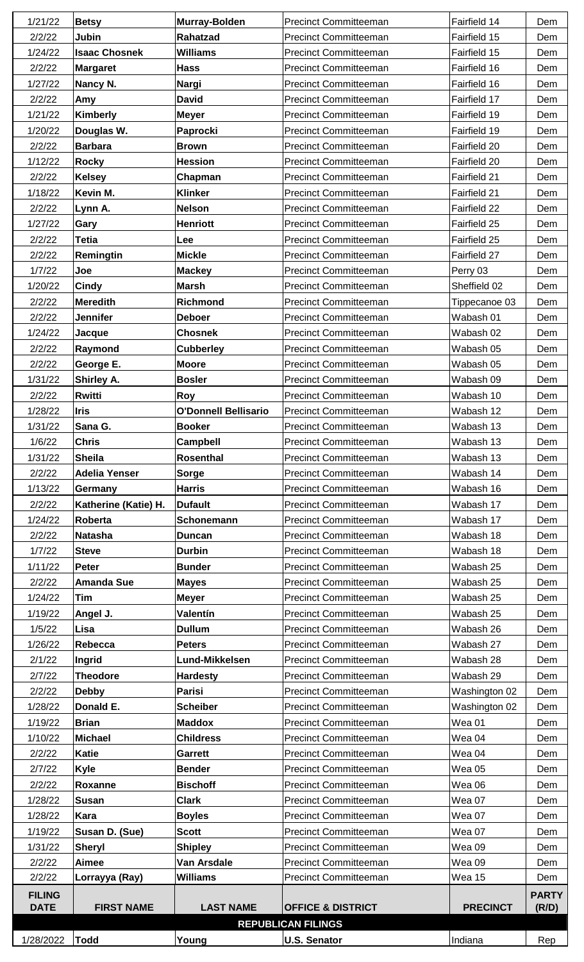| 1/21/22                      | <b>Betsy</b>         | <b>Murray-Bolden</b>        | <b>Precinct Committeeman</b> | Fairfield 14    | Dem                   |
|------------------------------|----------------------|-----------------------------|------------------------------|-----------------|-----------------------|
| 2/2/22                       | Jubin                | Rahatzad                    | <b>Precinct Committeeman</b> | Fairfield 15    | Dem                   |
| 1/24/22                      | <b>Isaac Chosnek</b> | <b>Williams</b>             | <b>Precinct Committeeman</b> | Fairfield 15    | Dem                   |
| 2/2/22                       | <b>Margaret</b>      | <b>Hass</b>                 | <b>Precinct Committeeman</b> | Fairfield 16    | Dem                   |
| 1/27/22                      | Nancy N.             | <b>Nargi</b>                | <b>Precinct Committeeman</b> | Fairfield 16    | Dem                   |
| 2/2/22                       | Amy                  | <b>David</b>                | <b>Precinct Committeeman</b> | Fairfield 17    | Dem                   |
| 1/21/22                      | <b>Kimberly</b>      | <b>Meyer</b>                | <b>Precinct Committeeman</b> | Fairfield 19    | Dem                   |
| 1/20/22                      | Douglas W.           | Paprocki                    | <b>Precinct Committeeman</b> | Fairfield 19    | Dem                   |
| 2/2/22                       | <b>Barbara</b>       | <b>Brown</b>                | <b>Precinct Committeeman</b> | Fairfield 20    | Dem                   |
| 1/12/22                      | <b>Rocky</b>         | <b>Hession</b>              | <b>Precinct Committeeman</b> | Fairfield 20    | Dem                   |
| 2/2/22                       | <b>Kelsey</b>        | Chapman                     | <b>Precinct Committeeman</b> | Fairfield 21    | Dem                   |
| 1/18/22                      | Kevin M.             | <b>Klinker</b>              | <b>Precinct Committeeman</b> | Fairfield 21    | Dem                   |
| 2/2/22                       | Lynn A.              | <b>Nelson</b>               | <b>Precinct Committeeman</b> | Fairfield 22    | Dem                   |
| 1/27/22                      | Gary                 | <b>Henriott</b>             | <b>Precinct Committeeman</b> | Fairfield 25    | Dem                   |
| 2/2/22                       | <b>Tetia</b>         | Lee                         | <b>Precinct Committeeman</b> | Fairfield 25    | Dem                   |
| 2/2/22                       | Remingtin            | <b>Mickle</b>               | <b>Precinct Committeeman</b> | Fairfield 27    | Dem                   |
| 1/7/22                       | Joe                  | <b>Mackey</b>               | <b>Precinct Committeeman</b> | Perry 03        | Dem                   |
| 1/20/22                      | <b>Cindy</b>         | <b>Marsh</b>                | <b>Precinct Committeeman</b> | Sheffield 02    | Dem                   |
| 2/2/22                       | <b>Meredith</b>      | <b>Richmond</b>             | <b>Precinct Committeeman</b> | Tippecanoe 03   | Dem                   |
| 2/2/22                       | <b>Jennifer</b>      | <b>Deboer</b>               | <b>Precinct Committeeman</b> | Wabash 01       | Dem                   |
| 1/24/22                      | Jacque               | <b>Chosnek</b>              | <b>Precinct Committeeman</b> | Wabash 02       | Dem                   |
| 2/2/22                       | Raymond              | <b>Cubberley</b>            | <b>Precinct Committeeman</b> | Wabash 05       | Dem                   |
| 2/2/22                       | George E.            | <b>Moore</b>                | <b>Precinct Committeeman</b> | Wabash 05       | Dem                   |
| 1/31/22                      | Shirley A.           | <b>Bosler</b>               | <b>Precinct Committeeman</b> | Wabash 09       | Dem                   |
| 2/2/22                       | Rwitti               | <b>Roy</b>                  | <b>Precinct Committeeman</b> | Wabash 10       | Dem                   |
| 1/28/22                      | <b>Iris</b>          | <b>O'Donnell Bellisario</b> | <b>Precinct Committeeman</b> | Wabash 12       | Dem                   |
| 1/31/22                      | Sana G.              | <b>Booker</b>               | <b>Precinct Committeeman</b> | Wabash 13       | Dem                   |
| 1/6/22                       | <b>Chris</b>         | Campbell                    | <b>Precinct Committeeman</b> | Wabash 13       | Dem                   |
| 1/31/22                      | <b>Sheila</b>        | <b>Rosenthal</b>            | <b>Precinct Committeeman</b> | Wabash 13       | Dem                   |
| 2/2/22                       | <b>Adelia Yenser</b> | <b>Sorge</b>                | <b>Precinct Committeeman</b> | Wabash 14       | Dem                   |
| 1/13/22                      | Germany              | <b>Harris</b>               | <b>Precinct Committeeman</b> | Wabash 16       | Dem                   |
| 2/2/22                       | Katherine (Katie) H. | Dufault                     | <b>Precinct Committeeman</b> | Wabash 17       | Dem                   |
| 1/24/22                      | Roberta              | Schonemann                  | <b>Precinct Committeeman</b> | Wabash 17       | Dem                   |
| 2/2/22                       | <b>Natasha</b>       | <b>Duncan</b>               | <b>Precinct Committeeman</b> | Wabash 18       | Dem                   |
| 1/7/22                       | <b>Steve</b>         | <b>Durbin</b>               | <b>Precinct Committeeman</b> | Wabash 18       | Dem                   |
| 1/11/22                      | <b>Peter</b>         | <b>Bunder</b>               | <b>Precinct Committeeman</b> | Wabash 25       | Dem                   |
| 2/2/22                       | <b>Amanda Sue</b>    | <b>Mayes</b>                | <b>Precinct Committeeman</b> | Wabash 25       | Dem                   |
| 1/24/22                      | <b>Tim</b>           | <b>Meyer</b>                | <b>Precinct Committeeman</b> | Wabash 25       | Dem                   |
| 1/19/22                      | Angel J.             | Valentín                    | <b>Precinct Committeeman</b> | Wabash 25       | Dem                   |
| 1/5/22                       | Lisa                 | <b>Dullum</b>               | <b>Precinct Committeeman</b> | Wabash 26       | Dem                   |
| 1/26/22                      | Rebecca              | <b>Peters</b>               | <b>Precinct Committeeman</b> | Wabash 27       | Dem                   |
| 2/1/22                       | Ingrid               | Lund-Mikkelsen              | <b>Precinct Committeeman</b> | Wabash 28       | Dem                   |
| 2/7/22                       | <b>Theodore</b>      | <b>Hardesty</b>             | <b>Precinct Committeeman</b> | Wabash 29       | Dem                   |
| 2/2/22                       | <b>Debby</b>         | <b>Parisi</b>               | <b>Precinct Committeeman</b> | Washington 02   | Dem                   |
| 1/28/22                      | Donald E.            | <b>Scheiber</b>             | <b>Precinct Committeeman</b> | Washington 02   | Dem                   |
| 1/19/22                      | <b>Brian</b>         | <b>Maddox</b>               | <b>Precinct Committeeman</b> | Wea 01          | Dem                   |
| 1/10/22                      | <b>Michael</b>       | <b>Childress</b>            | <b>Precinct Committeeman</b> | Wea 04          | Dem                   |
| 2/2/22                       | <b>Katie</b>         | <b>Garrett</b>              | <b>Precinct Committeeman</b> | Wea 04          | Dem                   |
| 2/7/22                       | <b>Kyle</b>          | <b>Bender</b>               | <b>Precinct Committeeman</b> | <b>Wea 05</b>   | Dem                   |
| 2/2/22                       | Roxanne              | <b>Bischoff</b>             | <b>Precinct Committeeman</b> | Wea 06          | Dem                   |
| 1/28/22                      | <b>Susan</b>         | <b>Clark</b>                | <b>Precinct Committeeman</b> | Wea 07          | Dem                   |
| 1/28/22                      | Kara                 | <b>Boyles</b>               | <b>Precinct Committeeman</b> | Wea 07          | Dem                   |
| 1/19/22                      | Susan D. (Sue)       | <b>Scott</b>                | <b>Precinct Committeeman</b> | Wea 07          | Dem                   |
| 1/31/22                      | <b>Sheryl</b>        | <b>Shipley</b>              | <b>Precinct Committeeman</b> | Wea 09          | Dem                   |
| 2/2/22                       | Aimee                | Van Arsdale                 | <b>Precinct Committeeman</b> | Wea 09          | Dem                   |
| 2/2/22                       | Lorrayya (Ray)       | <b>Williams</b>             | <b>Precinct Committeeman</b> | Wea 15          | Dem                   |
| <b>FILING</b><br><b>DATE</b> | <b>FIRST NAME</b>    | <b>LAST NAME</b>            | <b>OFFICE &amp; DISTRICT</b> | <b>PRECINCT</b> | <b>PARTY</b><br>(R/D) |
|                              |                      |                             | <b>REPUBLICAN FILINGS</b>    |                 |                       |
| 1/28/2022                    | Todd                 | Young                       | <b>U.S. Senator</b>          | Indiana         | Rep                   |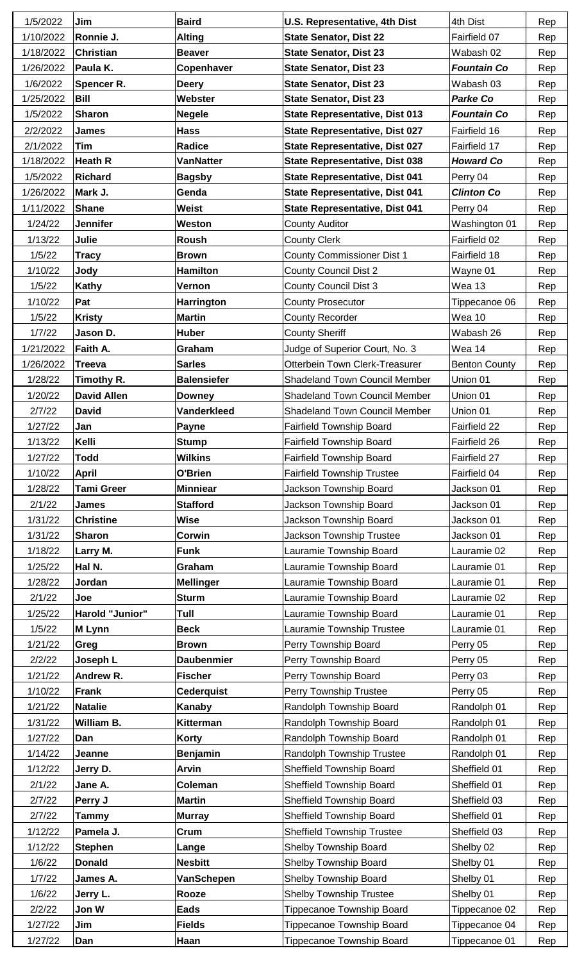| 1/5/2022  | Jim                | <b>Baird</b>       | <b>U.S. Representative, 4th Dist</b>  | 4th Dist             | Rep        |
|-----------|--------------------|--------------------|---------------------------------------|----------------------|------------|
| 1/10/2022 | Ronnie J.          | <b>Alting</b>      | <b>State Senator, Dist 22</b>         | Fairfield 07         | Rep        |
| 1/18/2022 | Christian          | <b>Beaver</b>      | <b>State Senator, Dist 23</b>         | Wabash 02            | Rep        |
| 1/26/2022 | Paula K.           | Copenhaver         | <b>State Senator, Dist 23</b>         | <b>Fountain Co</b>   | Rep        |
| 1/6/2022  | <b>Spencer R.</b>  | <b>Deery</b>       | <b>State Senator, Dist 23</b>         | Wabash 03            | Rep        |
| 1/25/2022 | <b>Bill</b>        | Webster            | <b>State Senator, Dist 23</b>         | <b>Parke Co</b>      | Rep        |
| 1/5/2022  | <b>Sharon</b>      | <b>Negele</b>      | <b>State Representative, Dist 013</b> | <b>Fountain Co</b>   | Rep        |
| 2/2/2022  | <b>James</b>       | <b>Hass</b>        | <b>State Representative, Dist 027</b> | Fairfield 16         | Rep        |
| 2/1/2022  | Tim                | Radice             | <b>State Representative, Dist 027</b> | Fairfield 17         | Rep        |
| 1/18/2022 | <b>Heath R</b>     | <b>VanNatter</b>   | State Representative, Dist 038        | <b>Howard Co</b>     | Rep        |
| 1/5/2022  | <b>Richard</b>     | <b>Bagsby</b>      | <b>State Representative, Dist 041</b> | Perry 04             | Rep        |
| 1/26/2022 | Mark J.            | Genda              | <b>State Representative, Dist 041</b> | <b>Clinton Co</b>    | Rep        |
| 1/11/2022 | <b>Shane</b>       | <b>Weist</b>       | State Representative, Dist 041        | Perry 04             | Rep        |
| 1/24/22   | <b>Jennifer</b>    | Weston             | <b>County Auditor</b>                 | Washington 01        | Rep        |
| 1/13/22   | Julie              | Roush              | <b>County Clerk</b>                   | Fairfield 02         | Rep        |
| 1/5/22    | <b>Tracy</b>       | <b>Brown</b>       | <b>County Commissioner Dist 1</b>     | Fairfield 18         | Rep        |
| 1/10/22   | Jody               | <b>Hamilton</b>    | <b>County Council Dist 2</b>          | Wayne 01             | Rep        |
| 1/5/22    | Kathy              | Vernon             | <b>County Council Dist 3</b>          | <b>Wea 13</b>        | Rep        |
| 1/10/22   | Pat                | <b>Harrington</b>  | <b>County Prosecutor</b>              | Tippecanoe 06        | Rep        |
| 1/5/22    | <b>Kristy</b>      | <b>Martin</b>      | County Recorder                       | Wea 10               | Rep        |
| 1/7/22    | Jason D.           | <b>Huber</b>       | <b>County Sheriff</b>                 | Wabash 26            | Rep        |
| 1/21/2022 | Faith A.           | Graham             | Judge of Superior Court, No. 3        | Wea 14               | Rep        |
| 1/26/2022 | <b>Treeva</b>      | <b>Sarles</b>      | Otterbein Town Clerk-Treasurer        | <b>Benton County</b> | Rep        |
| 1/28/22   | Timothy R.         | <b>Balensiefer</b> | <b>Shadeland Town Council Member</b>  | Union 01             | Rep        |
| 1/20/22   | <b>David Allen</b> | <b>Downey</b>      | <b>Shadeland Town Council Member</b>  | Union 01             | Rep        |
| 2/7/22    | <b>David</b>       | <b>Vanderkleed</b> | <b>Shadeland Town Council Member</b>  | Union 01             | Rep        |
| 1/27/22   | Jan                | <b>Payne</b>       | <b>Fairfield Township Board</b>       | Fairfield 22         | Rep        |
| 1/13/22   | Kelli              | <b>Stump</b>       | Fairfield Township Board              | Fairfield 26         | Rep        |
| 1/27/22   | <b>Todd</b>        | <b>Wilkins</b>     | <b>Fairfield Township Board</b>       | Fairfield 27         | Rep        |
| 1/10/22   | <b>April</b>       | O'Brien            | <b>Fairfield Township Trustee</b>     | Fairfield 04         | Rep        |
| 1/28/22   | <b>Tami Greer</b>  | <b>Minniear</b>    | Jackson Township Board                | Jackson 01           | Rep        |
| 2/1/22    | <b>James</b>       | <b>Stafford</b>    | Jackson Township Board                | Jackson 01           | Rep        |
| 1/31/22   | <b>Christine</b>   | <b>Wise</b>        | Jackson Township Board                | Jackson 01           | Rep        |
| 1/31/22   | <b>Sharon</b>      | Corwin             | <b>Jackson Township Trustee</b>       | Jackson 01           | Rep        |
| 1/18/22   | Larry M.           | <b>Funk</b>        | Lauramie Township Board               | Lauramie 02          | Rep        |
| 1/25/22   | Hal N.             | Graham             | Lauramie Township Board               | Lauramie 01          | Rep        |
| 1/28/22   | Jordan             | <b>Mellinger</b>   | Lauramie Township Board               | Lauramie 01          | Rep        |
| 2/1/22    | Joe                | <b>Sturm</b>       | Lauramie Township Board               | Lauramie 02          | Rep        |
| 1/25/22   | Harold "Junior"    | Tull               | Lauramie Township Board               | Lauramie 01          | Rep        |
| 1/5/22    | M Lynn             | <b>Beck</b>        | Lauramie Township Trustee             | Lauramie 01          | Rep        |
| 1/21/22   | Greg               | <b>Brown</b>       | Perry Township Board                  | Perry 05             | Rep        |
| 2/2/22    | Joseph L           | <b>Daubenmier</b>  | Perry Township Board                  | Perry 05             | Rep        |
| 1/21/22   | <b>Andrew R.</b>   | <b>Fischer</b>     | Perry Township Board                  | Perry 03             | Rep        |
| 1/10/22   | <b>Frank</b>       | <b>Cederquist</b>  | Perry Township Trustee                | Perry 05             | Rep        |
| 1/21/22   | <b>Natalie</b>     | Kanaby             | Randolph Township Board               | Randolph 01          | Rep        |
| 1/31/22   | <b>William B.</b>  | <b>Kitterman</b>   | Randolph Township Board               | Randolph 01          | Rep        |
| 1/27/22   | Dan                | <b>Korty</b>       | Randolph Township Board               | Randolph 01          | Rep        |
| 1/14/22   | Jeanne             | <b>Benjamin</b>    | <b>Randolph Township Trustee</b>      | Randolph 01          | Rep        |
| 1/12/22   | Jerry D.           | <b>Arvin</b>       | <b>Sheffield Township Board</b>       | Sheffield 01         | Rep        |
| 2/1/22    | Jane A.            | Coleman            | Sheffield Township Board              | Sheffield 01         | Rep        |
| 2/7/22    | Perry J            | <b>Martin</b>      | Sheffield Township Board              | Sheffield 03         | Rep        |
| 2/7/22    | Tammy              | <b>Murray</b>      | <b>Sheffield Township Board</b>       | Sheffield 01         | Rep        |
| 1/12/22   | Pamela J.          | Crum               | <b>Sheffield Township Trustee</b>     | Sheffield 03         | Rep        |
| 1/12/22   | <b>Stephen</b>     | Lange              | <b>Shelby Township Board</b>          | Shelby 02            | Rep        |
| 1/6/22    | <b>Donald</b>      | <b>Nesbitt</b>     | Shelby Township Board                 | Shelby 01            | Rep        |
| 1/7/22    | James A.           | VanSchepen         | Shelby Township Board                 | Shelby 01            | Rep        |
| 1/6/22    | Jerry L.           | Rooze              | <b>Shelby Township Trustee</b>        | Shelby 01            | Rep        |
| 2/2/22    | Jon W              | <b>Eads</b>        | Tippecanoe Township Board             | Tippecanoe 02        | Rep        |
| 1/27/22   | Jim                | <b>Fields</b>      | <b>Tippecanoe Township Board</b>      | Tippecanoe 04        |            |
| 1/27/22   | Dan                | Haan               | Tippecanoe Township Board             | Tippecanoe 01        | Rep<br>Rep |
|           |                    |                    |                                       |                      |            |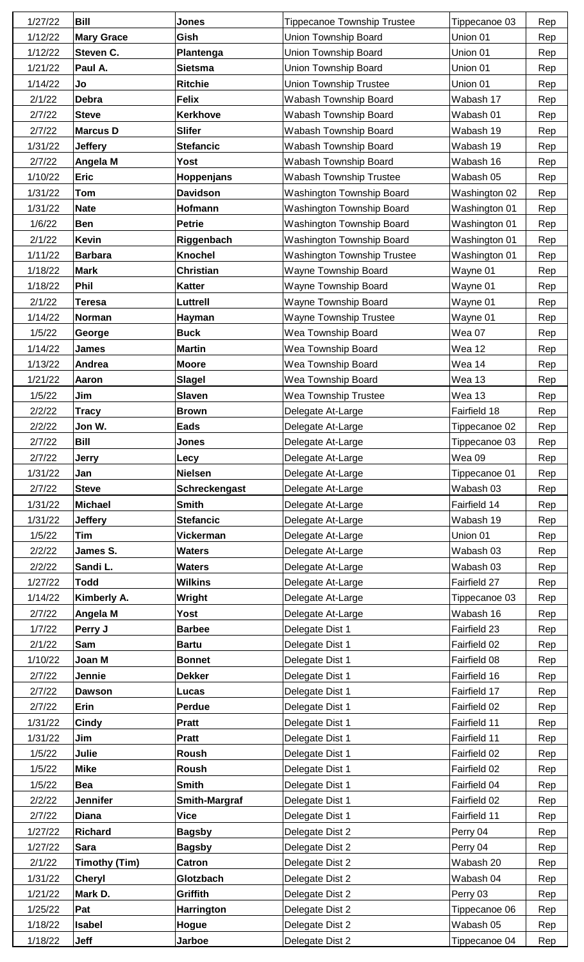| 1/27/22 | <b>Bill</b>          | <b>Jones</b>         | <b>Tippecanoe Township Trustee</b> | Tippecanoe 03 | Rep |
|---------|----------------------|----------------------|------------------------------------|---------------|-----|
| 1/12/22 | <b>Mary Grace</b>    | Gish                 | <b>Union Township Board</b>        | Union 01      | Rep |
| 1/12/22 | Steven C.            | Plantenga            | <b>Union Township Board</b>        | Union 01      | Rep |
| 1/21/22 | Paul A.              | <b>Sietsma</b>       | <b>Union Township Board</b>        | Union 01      | Rep |
| 1/14/22 | Jo                   | <b>Ritchie</b>       | <b>Union Township Trustee</b>      | Union 01      | Rep |
| 2/1/22  | Debra                | <b>Felix</b>         | Wabash Township Board              | Wabash 17     | Rep |
| 2/7/22  | <b>Steve</b>         | <b>Kerkhove</b>      | Wabash Township Board              | Wabash 01     | Rep |
| 2/7/22  | <b>Marcus D</b>      | <b>Slifer</b>        | Wabash Township Board              | Wabash 19     | Rep |
| 1/31/22 | <b>Jeffery</b>       | <b>Stefancic</b>     | Wabash Township Board              | Wabash 19     | Rep |
|         |                      |                      |                                    |               |     |
| 2/7/22  | Angela M             | <b>Yost</b>          | Wabash Township Board              | Wabash 16     | Rep |
| 1/10/22 | <b>Eric</b>          | Hoppenjans           | <b>Wabash Township Trustee</b>     | Wabash 05     | Rep |
| 1/31/22 | Tom                  | <b>Davidson</b>      | Washington Township Board          | Washington 02 | Rep |
| 1/31/22 | <b>Nate</b>          | Hofmann              | Washington Township Board          | Washington 01 | Rep |
| 1/6/22  | <b>Ben</b>           | <b>Petrie</b>        | <b>Washington Township Board</b>   | Washington 01 | Rep |
| 2/1/22  | <b>Kevin</b>         | Riggenbach           | Washington Township Board          | Washington 01 | Rep |
| 1/11/22 | <b>Barbara</b>       | <b>Knochel</b>       | <b>Washington Township Trustee</b> | Washington 01 | Rep |
| 1/18/22 | <b>Mark</b>          | <b>Christian</b>     | <b>Wayne Township Board</b>        | Wayne 01      | Rep |
| 1/18/22 | Phil                 | <b>Katter</b>        | <b>Wayne Township Board</b>        | Wayne 01      | Rep |
| 2/1/22  | <b>Teresa</b>        | Luttrell             | Wayne Township Board               | Wayne 01      | Rep |
| 1/14/22 | Norman               | Hayman               | <b>Wayne Township Trustee</b>      | Wayne 01      | Rep |
| 1/5/22  | George               | <b>Buck</b>          | Wea Township Board                 | Wea 07        | Rep |
| 1/14/22 | <b>James</b>         | <b>Martin</b>        | Wea Township Board                 | <b>Wea 12</b> | Rep |
| 1/13/22 | Andrea               | <b>Moore</b>         | Wea Township Board                 | Wea 14        | Rep |
| 1/21/22 | Aaron                | <b>Slagel</b>        | Wea Township Board                 | <b>Wea 13</b> | Rep |
| 1/5/22  | Jim                  | <b>Slaven</b>        | <b>Wea Township Trustee</b>        | Wea 13        | Rep |
| 2/2/22  | <b>Tracy</b>         | <b>Brown</b>         | Delegate At-Large                  | Fairfield 18  | Rep |
| 2/2/22  | Jon W.               | <b>Eads</b>          | Delegate At-Large                  | Tippecanoe 02 | Rep |
| 2/7/22  | <b>Bill</b>          | Jones                | Delegate At-Large                  | Tippecanoe 03 | Rep |
| 2/7/22  | <b>Jerry</b>         | Lecy                 | Delegate At-Large                  | Wea 09        | Rep |
| 1/31/22 | Jan                  | <b>Nielsen</b>       | Delegate At-Large                  | Tippecanoe 01 | Rep |
| 2/7/22  | <b>Steve</b>         | Schreckengast        | Delegate At-Large                  | Wabash 03     | Rep |
| 1/31/22 | <b>Michael</b>       | <b>Smith</b>         | Delegate At-Large                  | Fairfield 14  | Rep |
| 1/31/22 | <b>Jeffery</b>       | <b>Stefancic</b>     | Delegate At-Large                  | Wabash 19     | Rep |
| 1/5/22  | Tim                  | <b>Vickerman</b>     | Delegate At-Large                  | Union 01      | Rep |
| 2/2/22  | James S.             | <b>Waters</b>        | Delegate At-Large                  | Wabash 03     | Rep |
| 2/2/22  |                      | <b>Waters</b>        | Delegate At-Large                  | Wabash 03     |     |
|         |                      |                      |                                    |               |     |
|         | Sandi L.             |                      |                                    |               | Rep |
| 1/27/22 | <b>Todd</b>          | <b>Wilkins</b>       | Delegate At-Large                  | Fairfield 27  | Rep |
| 1/14/22 | Kimberly A.          | Wright               | Delegate At-Large                  | Tippecanoe 03 | Rep |
| 2/7/22  | Angela M             | Yost                 | Delegate At-Large                  | Wabash 16     | Rep |
| 1/7/22  | Perry J              | <b>Barbee</b>        | Delegate Dist 1                    | Fairfield 23  | Rep |
| 2/1/22  | Sam                  | <b>Bartu</b>         | Delegate Dist 1                    | Fairfield 02  | Rep |
| 1/10/22 | Joan M               | <b>Bonnet</b>        | Delegate Dist 1                    | Fairfield 08  | Rep |
| 2/7/22  | Jennie               | <b>Dekker</b>        | Delegate Dist 1                    | Fairfield 16  | Rep |
| 2/7/22  | <b>Dawson</b>        | Lucas                | Delegate Dist 1                    | Fairfield 17  | Rep |
| 2/7/22  | Erin                 | <b>Perdue</b>        | Delegate Dist 1                    | Fairfield 02  | Rep |
| 1/31/22 | Cindy                | <b>Pratt</b>         | Delegate Dist 1                    | Fairfield 11  | Rep |
| 1/31/22 | Jim                  | <b>Pratt</b>         | Delegate Dist 1                    | Fairfield 11  | Rep |
| 1/5/22  | Julie                | Roush                | Delegate Dist 1                    | Fairfield 02  | Rep |
| 1/5/22  | <b>Mike</b>          | Roush                | Delegate Dist 1                    | Fairfield 02  | Rep |
| 1/5/22  | Bea                  | <b>Smith</b>         | Delegate Dist 1                    | Fairfield 04  | Rep |
| 2/2/22  | <b>Jennifer</b>      | <b>Smith-Margraf</b> | Delegate Dist 1                    | Fairfield 02  | Rep |
| 2/7/22  | <b>Diana</b>         | <b>Vice</b>          | Delegate Dist 1                    | Fairfield 11  | Rep |
| 1/27/22 | <b>Richard</b>       | <b>Bagsby</b>        | Delegate Dist 2                    | Perry 04      | Rep |
| 1/27/22 | <b>Sara</b>          | <b>Bagsby</b>        | Delegate Dist 2                    | Perry 04      | Rep |
| 2/1/22  | <b>Timothy (Tim)</b> | <b>Catron</b>        | Delegate Dist 2                    | Wabash 20     | Rep |
| 1/31/22 | Cheryl               | Glotzbach            | Delegate Dist 2                    | Wabash 04     | Rep |
| 1/21/22 | Mark D.              | Griffith             | Delegate Dist 2                    | Perry 03      | Rep |
| 1/25/22 | Pat                  | Harrington           | Delegate Dist 2                    | Tippecanoe 06 | Rep |
| 1/18/22 | Isabel               | Hogue                | Delegate Dist 2                    | Wabash 05     | Rep |